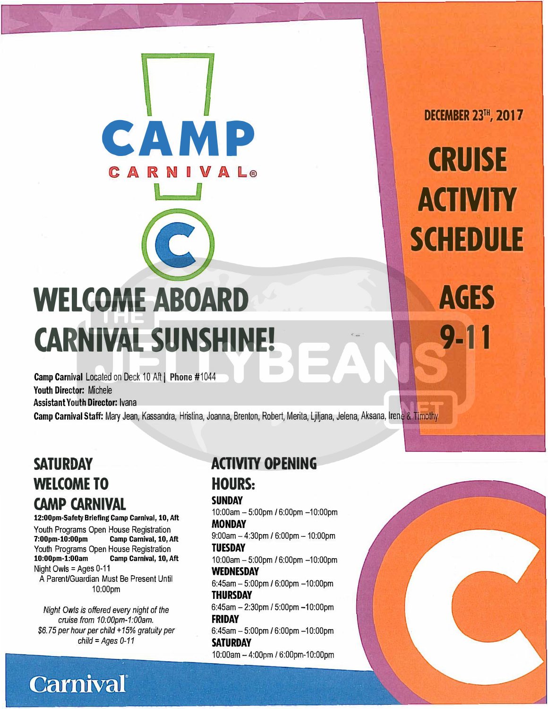# **WELCOME ABOARD CARNIVAL SUNSHINE!**

**CAMP** 

Camp Carnival Located on Deck 10 Aft | Phone #1044 Youth Director: Michele Assistant Youth Director: Ivana

Camp Carnival Staff: Mary Jean, Kassandra, Hristina, Joanna, Brenton, Robert, Merita, Ljiljana, Jelena, Aksana, Irene & Timothy

## **SATURDAY WELCOME TO CAMP CARNIVAL**

**12:00pm-Safety Briefing Camp Carnival, 10, Aft**  Youth Programs Open House Registration<br>7:00pm-10:00pm Camp Carnival, 10, A Camp Carnival, 10, Aft Youth Programs Open House Registration<br>10:00pm-1:00am Camp Carnival, 10, A **Camp Carnival, 10, Aft** Night Owls = Ages 0-11 A Parent/Guardian Must Be Present Until 10:00pm

*Night Owls is offered every night of the*  cruise *from 10:00pm-1:00am. \$6. 7 5 per hour per child* + *15% gratuity per child* = *Ages 0-11* 

**Carnival** 

#### **ACTIVITY OPENING HOURS:**

#### **SUNDAY**

10:00am -5:00pm / 6:00pm -10:00pm **MONDAY** 

 $9:00$ am  $-4:30$ pm / 6:00pm  $-10:00$ pm **TUESDAY** 

1 O:0Oam - 5:00pm / 6:00pm -1 0:O0pm **WEDNESDAY**  6:45am- 5:00pm / 6:00pm -10:00pm

**THURSDAY**  6:45am - 2:30pm / 5:00pm -10:00pm **FRIDAY**  6:45am - 5:00pm / 6:00pm - 10:00pm

**SATURDAY**  10:00am - 4:00pm / 6:00pm-10:00pm

**DECEMBER 23'", 2017** 

**CRUISE ACTIVITY SCHEDULE** 

**AGES 9-11**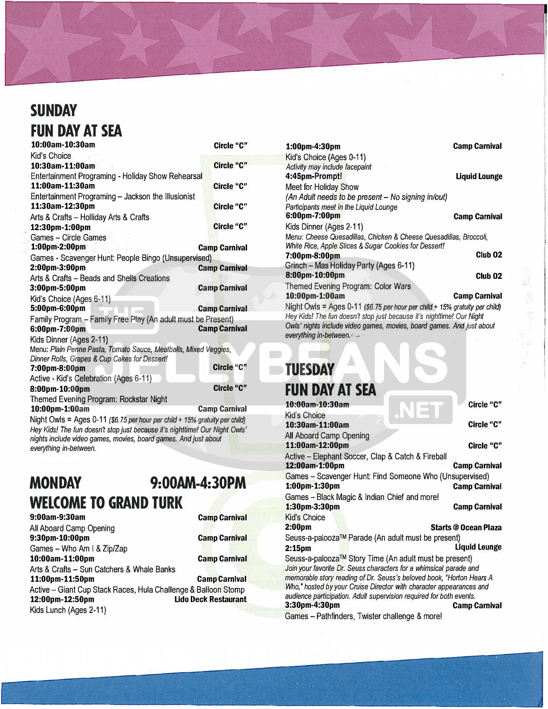## **SUNDAY FUN DAY AT SEA**

| 10:00am-10:30am                                                  | Circle "C"                          |
|------------------------------------------------------------------|-------------------------------------|
| Kid's Choice                                                     |                                     |
| 10:30am-11:00am                                                  | <b>Circle "C"</b>                   |
| Entertainment Programing - Holiday Show Rehearsal                |                                     |
| 11:00am-11:30am                                                  | Circle "C"                          |
| Entertainment Programing - Jackson the Illusionist               |                                     |
| 11:30am-12:30pm                                                  | Circle "C"                          |
| Arts & Crafts - Holliday Arts & Crafts                           |                                     |
| 12:30pm-1:00pm                                                   | Circle "C"                          |
| <b>Games - Circle Games</b>                                      |                                     |
| 1:00pm-2:00pm                                                    | <b>Camp Carnival</b>                |
| Games - Scavenger Hunt: People Bingo (Unsupervised)              |                                     |
| 2:00pm-3:00pm                                                    | <b>Camp Carnival</b>                |
| Arts & Crafts – Beads and Shells Creations                       |                                     |
| 3:00pm-5:00pm                                                    | <b>Camp Carnival</b>                |
| Kid's Choice (Ages 6-11)                                         |                                     |
| 5:00pm-6:00pm                                                    | <b>Camp Carnival</b>                |
| Family Program - Family Free Play (An adult must be Present)     |                                     |
| 6:00pm-7:00pm                                                    | <b>Camp Carnival</b>                |
| Kids Dinner (Ages 2-11)                                          |                                     |
| Menu: Plain Penne Pasta, Tomato Sauce, Meatballs, Mixed Veggies, |                                     |
| Dinner Rolls, Grapes & Cup Cakes for Dessert!                    |                                     |
| 7:00pm-8:00pm                                                    | Circle "C"                          |
| Active - Kid's Celebration (Ages 6-11)                           |                                     |
| 8:00pm-10:00pm                                                   | Circle "C"                          |
| Themed Evening Program: Rockstar Night                           |                                     |
| 10:00pm-1:00am                                                   | <b>Camp Carnival</b>                |
| $h$ light Quile = Agen 0.44 $\mu$ 0.75 usubsu                    | $-1.2 - 1.450$ / $-1.3 - 1.2 - 1.2$ |

Night Owls = Ages 0-11 *(\$6. 75 per hour per child+ 15% gratuity per child) Hey Kids! The fun doesn't stop just because it's nighttime! Our Night Owls' nights include video games, movies, board games. And just about everything in-between.* 

### **MONDAY 9:00AM-4:30PM WELCOME TO GRAND TURK**

| 9:00am-9:30am                                                  | <b>Camp Carnival</b>        |
|----------------------------------------------------------------|-----------------------------|
| All Aboard Camp Opening                                        |                             |
| 9:30pm-10:00pm                                                 | <b>Camp Carnival</b>        |
| Games - Who Am   & Zip/Zap                                     |                             |
| 10:00am-11:00pm                                                | <b>Camp Carnival</b>        |
| Arts & Crafts - Sun Catchers & Whale Banks                     |                             |
| 11:00pm-11:50pm                                                | <b>Camp Carnival</b>        |
| Active - Giant Cup Stack Races, Hula Challenge & Balloon Stomp |                             |
| 12:00pm-12:50pm                                                | <b>Lido Deck Restaurant</b> |
| Kids Lunch (Ages 2-11)                                         |                             |
|                                                                |                             |

| 1:00pm-4:30pm                                                               | <b>Camp Carnival</b> |
|-----------------------------------------------------------------------------|----------------------|
| Kid's Choice (Ages 0-11)                                                    |                      |
| Activity may include facepaint                                              |                      |
| 4:45pm-Prompt!                                                              | <b>Liquid Lounge</b> |
| Meet for Holiday Show                                                       |                      |
| (An Adult needs to be present - No signing in/out)                          |                      |
| Participants meet in the Liquid Lounge                                      |                      |
| 6:00pm-7:00pm                                                               | <b>Camp Carnival</b> |
| Kids Dinner (Ages 2-11)                                                     |                      |
| Menu: Cheese Quesadillas, Chicken & Cheese Quesadillas, Broccoli,           |                      |
| White Rice, Apple Slices & Sugar Cookies for Dessert!                       |                      |
| 7:00pm-8:00pm                                                               | Club <sub>02</sub>   |
| Grinch - Mas Holiday Party (Ages 6-11)                                      |                      |
| 8:00pm-10:00pm                                                              | Club <sub>02</sub>   |
| <b>Themed Evening Program: Color Wars</b>                                   |                      |
| 10:00pm-1:00am                                                              | <b>Camp Carnival</b> |
| Night Owls = Ages 0-11 (\$6.75 per hour per child + 15% gratuity per child) |                      |
| Hey Kids! The fun doesn't stop just because it's nighttime! Our Night       |                      |
| Owls' nights include video games, movies, board games. And just about       |                      |
| everything in-between.                                                      |                      |

计算机 化三氯化物

| <b>TUESDAY</b>                                                       |                             |
|----------------------------------------------------------------------|-----------------------------|
| <b>FUN DAY AT SEA</b>                                                |                             |
| 10:00am-10:30am                                                      | Circle "C"                  |
|                                                                      |                             |
| Kid's Choice<br>$10:30$ am-11:00am                                   | Circle "C"                  |
|                                                                      |                             |
| All Aboard Camp Opening                                              |                             |
| 11:00am-12:00pm                                                      | Circle "C"                  |
| Active – Elephant Soccer, Clap & Catch & Fireball                    |                             |
| 12:00am-1:00pm                                                       | <b>Camp Carnival</b>        |
| Games - Scavenger Hunt: Find Someone Who (Unsupervised)              |                             |
| 1:00pm-1:30pm                                                        | <b>Camp Carnival</b>        |
| Games - Black Magic & Indian Chief and more!                         |                             |
| 1:30pm-3:30pm                                                        | <b>Camp Carnival</b>        |
| <b>Kid's Choice</b>                                                  |                             |
| 2:00pm                                                               | <b>Starts @ Ocean Plaza</b> |
| Seuss-a-palooza™ Parade (An adult must be present)                   |                             |
| 2:15 <sub>pm</sub>                                                   | Liquid Lounge               |
| Seuss-a-palooza™ Story Time (An adult must be present)               |                             |
| Join your favorite Dr. Seuss characters for a whimsical parade and   |                             |
| memorable story reading of Dr. Seuss's beloved book, "Horton Hears A |                             |
| Who," hosted by your Cruise Director with character appearances and  |                             |
| audience participation. Adult supervision required for both events.  |                             |
| 3:30pm-4:30pm                                                        | <b>Camp Carnival</b>        |
| Games - Pathfinders, Twister challenge & more!                       |                             |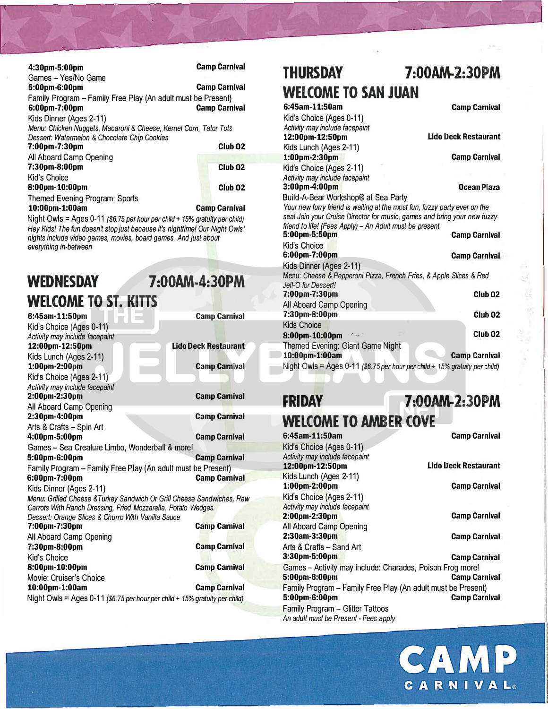| 4:30pm-5:00pm                                                     | <b>Camp Carnival</b> |
|-------------------------------------------------------------------|----------------------|
| Games - Yes/No Game                                               |                      |
| 5:00pm-6:00pm                                                     | <b>Camp Carnival</b> |
| Family Program - Family Free Play (An adult must be Present)      |                      |
| 6:00pm-7:00pm                                                     | <b>Camp Carnival</b> |
| Kids Dinner (Ages 2-11)                                           |                      |
| Menu: Chicken Nuggets, Macaroni & Cheese, Kernel Corn, Tator Tots |                      |
| Dessert: Watermelon & Chocolate Chip Cookies                      |                      |
| 7:00pm-7:30pm                                                     | Club <sub>02</sub>   |
| All Aboard Camp Opening                                           |                      |
| 7:30pm-8:00pm                                                     | Club <sub>02</sub>   |
| Kid's Choice                                                      |                      |
| 8:00pm-10:00pm                                                    | Club <sub>02</sub>   |
| Themed Evening Program: Sports                                    |                      |
| 10:00pm-1:00am                                                    | <b>Camp Carnival</b> |

[ : ' : : : : : : **<sup>11</sup>**

Night Owls= Ages 0-11 *(\$6. 75 per hour per child+ 15% gratuity per child)*  Hey Kids! The fun doesn't stop just because it's nighttime! Our Night Owls' *nights include video games, movies, board games. And just about everything in-between* 

## **WEDNESDAY 7:00AM-4:30PM WELCOME TO ST. KITTS**

| 6:45am-11:50pm                                                              | <b>Camp Carnival</b> |
|-----------------------------------------------------------------------------|----------------------|
| Kid's Choice (Ages 0-11)                                                    |                      |
| Activity may include facepaint                                              |                      |
| 12:00pm-12:50pm                                                             | Lido Deck Restaurant |
| Kids Lunch (Ages 2-11)                                                      |                      |
| 1:00pm-2:00pm                                                               | <b>Camp Carnival</b> |
| Kid's Choice (Ages 2-11)                                                    |                      |
| Activity may include facepaint                                              |                      |
| 2:00pm-2:30pm                                                               | <b>Camp Carnival</b> |
| All Aboard Camp Opening                                                     |                      |
| 2:30pm-4:00pm                                                               | <b>Camp Carnival</b> |
| Arts & Crafts - Spin Art                                                    |                      |
| 4:00pm-5:00pm                                                               | <b>Camp Carnival</b> |
| Games - Sea Creature Limbo, Wonderball & more!                              |                      |
| 5:00pm-6:00pm                                                               | <b>Camp Carnival</b> |
| Family Program - Family Free Play (An adult must be Present)                |                      |
| 6:00pm-7:00pm                                                               | <b>Camp Carnival</b> |
| Kids Dinner (Ages 2-11)                                                     |                      |
| Menu: Grilled Cheese & Turkey Sandwich Or Grill Cheese Sandwiches, Raw      |                      |
| Carrots With Ranch Dressing, Fried Mozzarella, Potato Wedges.               |                      |
| Dessert: Orange Slices & Churro With Vanilla Sauce                          |                      |
| 7:00pm-7:30pm                                                               | <b>Camp Carnival</b> |
| All Aboard Camp Opening                                                     |                      |
| 7:30pm-8:00pm                                                               | <b>Camp Carnival</b> |
| Kid's Choice                                                                |                      |
| 8:00pm-10:00pm                                                              | <b>Camp Carnival</b> |
| Movie: Cruiser's Choice                                                     |                      |
| 10:00pm-1:00am                                                              | <b>Camp Carnival</b> |
| Night Owls = Ages 0-11 (\$6.75 per hour per child + 15% gratuity per child) |                      |
|                                                                             |                      |

#### **THURSDAY 7 :00AM-2:30PM WELCOME TO SAN JUAN 6:45am-11:50am Camp Carnival**

•

| v. TJalii 11. Juuli                                                         | <b>Vallip Vallival</b> |
|-----------------------------------------------------------------------------|------------------------|
| Kid's Choice (Ages 0-11)                                                    |                        |
| Activity may include facepaint                                              |                        |
| 12:00pm-12:50pm                                                             | Lido Deck Restaurant   |
| Kids Lunch (Ages 2-11)                                                      |                        |
| 1:00pm-2:30pm                                                               | <b>Camp Carnival</b>   |
| Kid's Choice (Ages 2-11)                                                    |                        |
| Activity may include facepaint                                              |                        |
| 3:00pm-4:00pm                                                               | Ocean Plaza            |
| Build-A-Bear Workshop® at Sea Party                                         |                        |
| Your new furry friend is waiting at the most fun, fuzzy party ever on the   |                        |
| sea! Join your Cruise Director for music, games and bring your new fuzzy    |                        |
| friend to life! (Fees Apply) - An Adult must be present                     |                        |
| 5:00pm-5:50pm                                                               | <b>Camp Carnival</b>   |
| Kid's Choice                                                                |                        |
| 6:00pm-7:00pm                                                               | <b>Camp Carnival</b>   |
| Kids Dinner (Ages 2-11)                                                     |                        |
| Menu: Cheese & Pepperoni Pizza, French Fries, & Apple Slices & Red          |                        |
| Jell-O for Dessert!                                                         |                        |
| 7:00pm-7:30pm                                                               | Club <sub>02</sub>     |
| All Aboard Camp Opening                                                     |                        |
| 7:30pm-8:00pm                                                               | Club <sub>02</sub>     |
| <b>Kids Choice</b>                                                          |                        |
| 8:00pm-10:00pm<br>$\mathcal{L}_{\text{max}}$                                | Club <sub>02</sub>     |
| Themed Evening: Giant Game Night                                            |                        |
| 10:00pm-1:00am                                                              | <b>Camp Carnival</b>   |
| Night Owls = Ages 0-11 (\$6.75 per hour per child + 15% gratuity per child) |                        |
|                                                                             |                        |

### **FRIDAY 7:00AM-2:30PM**

**WELCOME TO AMBER COVE 6:45am-11:50am Camp Carnival**  Kid's Choice (Ages 0-11) *Activity may include facepaint*  **12:00pm-12:SOpm Lido Deck Restaurant**  Kids Lunch (Ages 2-11) **1:00pm-2:00pm Camp Carnival**  Kid's Choice (Ages 2-11) *Activity may include facepaint*  **2:0Dpm-2:30pm Camp Carnival**  All Aboard Camp Opening **2:3Dam-3:30pm Camp Carnival**  Arts & Crafts - Sand Art **3:30pm-5:00pm Camp Carnival** Games - Activity may include: Charades, Poison Frog more!<br>5:00pm-6:00pm **5:00pm-6:00pm** Family Program - Family Free Play (An adult must be Present) **Camp Carnival** Family Program - Glitter Tattoos *An adult must be Present* - *Fees apply*